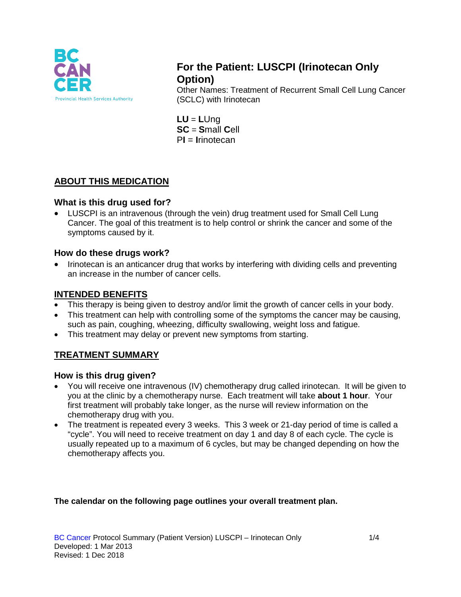

# **For the Patient: LUSCPI (Irinotecan Only Option)**

Other Names: Treatment of Recurrent Small Cell Lung Cancer (SCLC) with Irinotecan

**LU** = **L**Ung **SC** = **S**mall **C**ell P**I** = **I**rinotecan

# **ABOUT THIS MEDICATION**

### **What is this drug used for?**

• LUSCPI is an intravenous (through the vein) drug treatment used for Small Cell Lung Cancer. The goal of this treatment is to help control or shrink the cancer and some of the symptoms caused by it.

### **How do these drugs work?**

• Irinotecan is an anticancer drug that works by interfering with dividing cells and preventing an increase in the number of cancer cells.

## **INTENDED BENEFITS**

- This therapy is being given to destroy and/or limit the growth of cancer cells in your body.
- This treatment can help with controlling some of the symptoms the cancer may be causing, such as pain, coughing, wheezing, difficulty swallowing, weight loss and fatigue.
- This treatment may delay or prevent new symptoms from starting.

# **TREATMENT SUMMARY**

#### **How is this drug given?**

- You will receive one intravenous (IV) chemotherapy drug called irinotecan. It will be given to you at the clinic by a chemotherapy nurse. Each treatment will take **about 1 hour**. Your first treatment will probably take longer, as the nurse will review information on the chemotherapy drug with you.
- The treatment is repeated every 3 weeks. This 3 week or 21-day period of time is called a "cycle". You will need to receive treatment on day 1 and day 8 of each cycle. The cycle is usually repeated up to a maximum of 6 cycles, but may be changed depending on how the chemotherapy affects you.

#### **The calendar on the following page outlines your overall treatment plan.**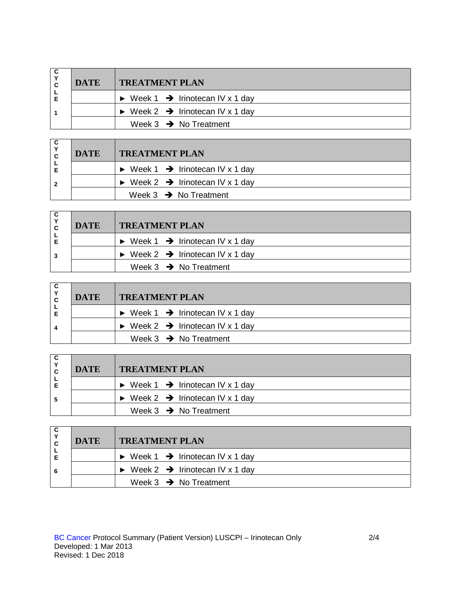| <b>DATE</b> | <b>TREATMENT PLAN</b>                                       |
|-------------|-------------------------------------------------------------|
|             | $\triangleright$ Week 1 $\rightarrow$ Irinotecan IV x 1 day |
|             | $\triangleright$ Week 2 $\rightarrow$ Irinotecan IV x 1 day |
|             | Week $3 \rightarrow$ No Treatment                           |

| C<br>C | <b>DATE</b> | <b>TREATMENT PLAN</b>                                       |
|--------|-------------|-------------------------------------------------------------|
|        |             | $\triangleright$ Week 1 $\rightarrow$ Irinotecan IV x 1 day |
|        |             | $\triangleright$ Week 2 $\rightarrow$ Irinotecan IV x 1 day |
|        |             | Week $3 \rightarrow$ No Treatment                           |

| C<br>C | <b>DATE</b> | <b>TREATMENT PLAN</b>                                       |
|--------|-------------|-------------------------------------------------------------|
| Е      |             | $\triangleright$ Week 1 $\rightarrow$ Irinotecan IV x 1 day |
| 3      |             | $\triangleright$ Week 2 $\rightarrow$ Irinotecan IV x 1 day |
|        |             | Week $3 \rightarrow$ No Treatment                           |

| C              | <b>DATE</b> | <b>TREATMENT PLAN</b>                                       |  |  |
|----------------|-------------|-------------------------------------------------------------|--|--|
|                |             | $\triangleright$ Week 1 $\rightarrow$ Irinotecan IV x 1 day |  |  |
| $\overline{4}$ |             | $\triangleright$ Week 2 $\rightarrow$ Irinotecan IV x 1 day |  |  |
|                |             | Week $3 \rightarrow$ No Treatment                           |  |  |

| C.<br>$\check{ }$<br>C. | <b>DATE</b> | <b>TREATMENT PLAN</b>                                       |
|-------------------------|-------------|-------------------------------------------------------------|
|                         |             | $\triangleright$ Week 1 $\rightarrow$ Irinotecan IV x 1 day |
| 5                       |             | $\triangleright$ Week 2 $\rightarrow$ Irinotecan IV x 1 day |
|                         |             | Week $3 \rightarrow$ No Treatment                           |

| C<br>C | <b>DATE</b> | <b>TREATMENT PLAN</b>                                       |
|--------|-------------|-------------------------------------------------------------|
|        |             | $\triangleright$ Week 1 $\rightarrow$ Irinotecan IV x 1 day |
| 6      |             | $\triangleright$ Week 2 $\rightarrow$ Irinotecan IV x 1 day |
|        |             | Week $3 \rightarrow$ No Treatment                           |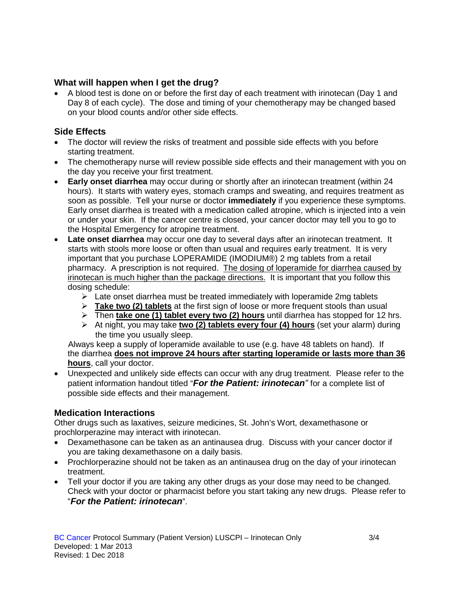#### **What will happen when I get the drug?**

• A blood test is done on or before the first day of each treatment with irinotecan (Day 1 and Day 8 of each cycle). The dose and timing of your chemotherapy may be changed based on your blood counts and/or other side effects.

### **Side Effects**

- The doctor will review the risks of treatment and possible side effects with you before starting treatment.
- The chemotherapy nurse will review possible side effects and their management with you on the day you receive your first treatment.
- **Early onset diarrhea** may occur during or shortly after an irinotecan treatment (within 24 hours). It starts with watery eyes, stomach cramps and sweating, and requires treatment as soon as possible. Tell your nurse or doctor **immediately** if you experience these symptoms. Early onset diarrhea is treated with a medication called atropine, which is injected into a vein or under your skin. If the cancer centre is closed, your cancer doctor may tell you to go to the Hospital Emergency for atropine treatment.
- **Late onset diarrhea** may occur one day to several days after an irinotecan treatment. It starts with stools more loose or often than usual and requires early treatment. It is very important that you purchase LOPERAMIDE (IMODIUM®) 2 mg tablets from a retail pharmacy. A prescription is not required. The dosing of loperamide for diarrhea caused by irinotecan is much higher than the package directions. It is important that you follow this dosing schedule:
	- $\triangleright$  Late onset diarrhea must be treated immediately with loperamide 2mg tablets
	- **Take two (2) tablets** at the first sign of loose or more frequent stools than usual
	- Then **take one (1) tablet every two (2) hours** until diarrhea has stopped for 12 hrs.
	- At night, you may take **two (2) tablets every four (4) hours** (set your alarm) during the time you usually sleep.

 Always keep a supply of loperamide available to use (e.g. have 48 tablets on hand). If the diarrhea **does not improve 24 hours after starting loperamide or lasts more than 36 hours**, call your doctor.

• Unexpected and unlikely side effects can occur with any drug treatment. Please refer to the patient information handout titled "*For the Patient: irinotecan"* for a complete list of possible side effects and their management.

#### **Medication Interactions**

Other drugs such as laxatives, seizure medicines, St. John's Wort, dexamethasone or prochlorperazine may interact with irinotecan.

- Dexamethasone can be taken as an antinausea drug. Discuss with your cancer doctor if you are taking dexamethasone on a daily basis.
- Prochlorperazine should not be taken as an antinausea drug on the day of your irinotecan treatment.
- Tell your doctor if you are taking any other drugs as your dose may need to be changed. Check with your doctor or pharmacist before you start taking any new drugs. Please refer to "*For the Patient: irinotecan*".